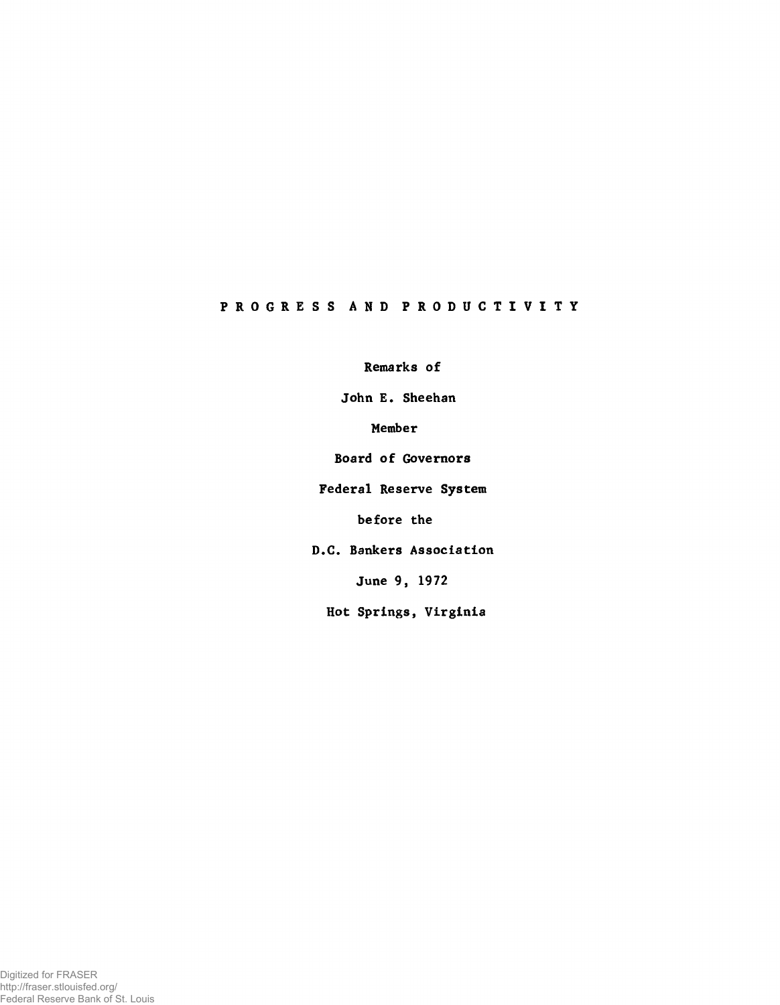# PROGRESS AND PRODUCTIVITY

Remarks of

John E. Sheehan

Member

Board of Governors

Federal Reserve System

before the

D.C. Bankers Association

June 9, 1972

Hot Springs, Virginia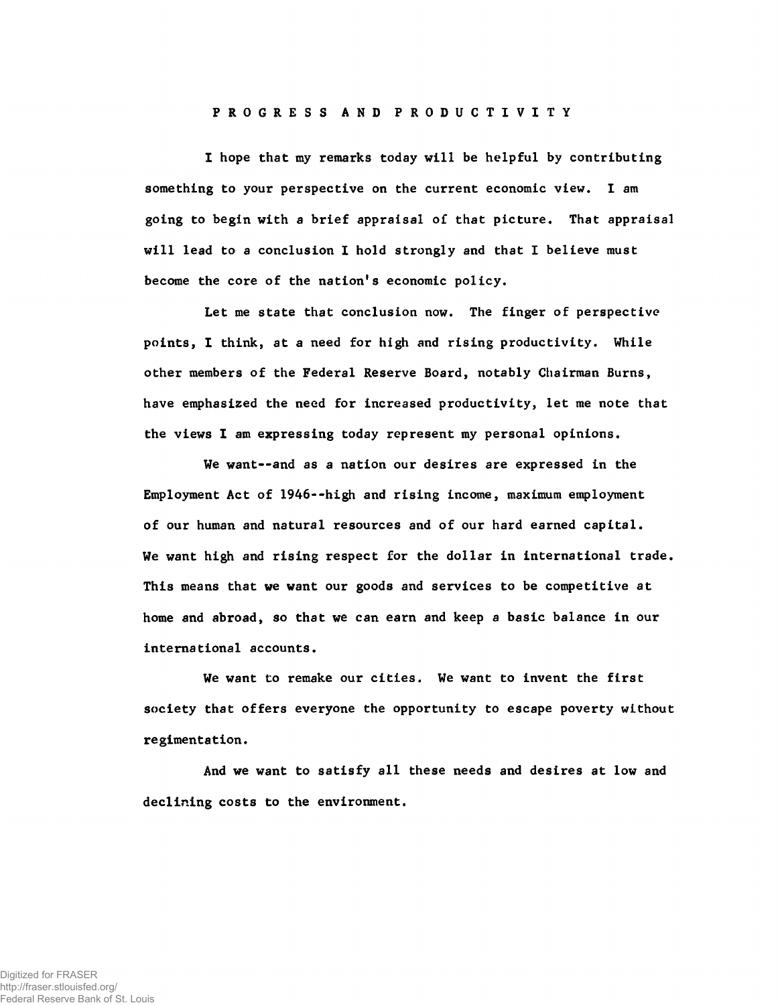# PROGRESS AND PRODUCTIVITY

I hope that my remarks today will be helpful by contributing something to your perspective on the current economic view. I am going to begin with a brief appraisal of that picture. That appraisal will lead to a conclusion I hold strongly and that I believe must become the core of the nation's economic policy.

Let me state that conclusion now. The finger of perspective points, I think, at a need for high and rising productivity. While other members of the Federal Reserve Board, notably Chairman Burns, have emphasized the need for increased productivity, let me note that the views I am expressing today represent my personal opinions.

We want--and as a nation our desires are expressed in the Employment Act of 1946--high and rising income, maximum employment of our human and natural resources and of our hard earned capital. We want high and rising respect for the dollar in international trade. This means that we want our goods and services to be competitive at home and abroad, so that we can earn and keep a basic balance in our international accounts.

We want to remake our cities. We want to invent the first society that offers everyone the opportunity to escape poverty without regimentation.

And we want to satisfy all these needs and desires at low and declining costs to the environment.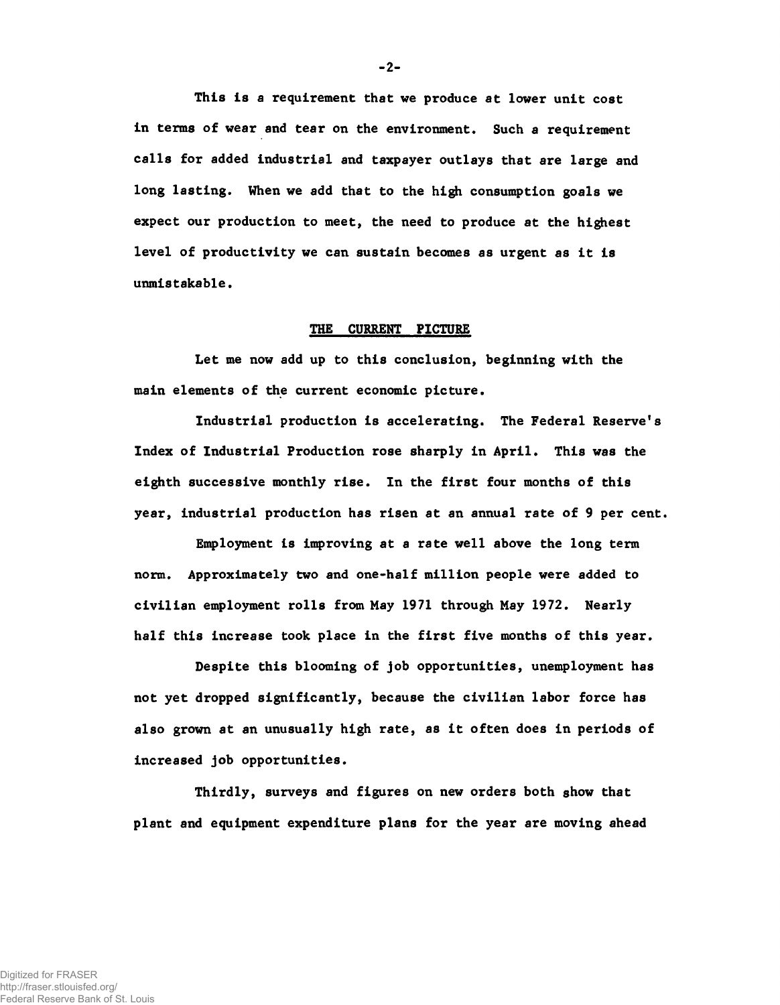This is a requirement that we produce at lower unit cost in terms of wear and tear on the environment. Such a requirement calls for added industrial and taxpayer outlays that are large and long lasting. When we add that to the high consumption goals we expect our production to meet, the need to produce at the highest level of productivity we can sustain becomes as urgent as it is unmistakable.

# THE CURRENT PICTURE

Let me now add up to this conclusion, beginning with the main elements of the current economic picture.

Industrial production is accelerating. The Federal Reserve's Index of Industrial Production rose sharply in April. This was the eighth successive monthly rise. In the first four months of this year, industrial production has risen at an annual rate of 9 per cent.

Employment is improving at a rate well above the long term norm. Approximately two and one-half million people were added to civilian employment rolls from May 1971 through May 1972. Nearly half this increase took place in the first five months of this year.

Despite this blooming of job opportunities, unemployment has not yet dropped significantly, because the civilian labor force has also grown at an unusually high rate, as it often does in periods of increased job opportunities.

Thirdly, surveys and figures on new orders both show that plant and equipment expenditure plans for the year are moving ahead

-2-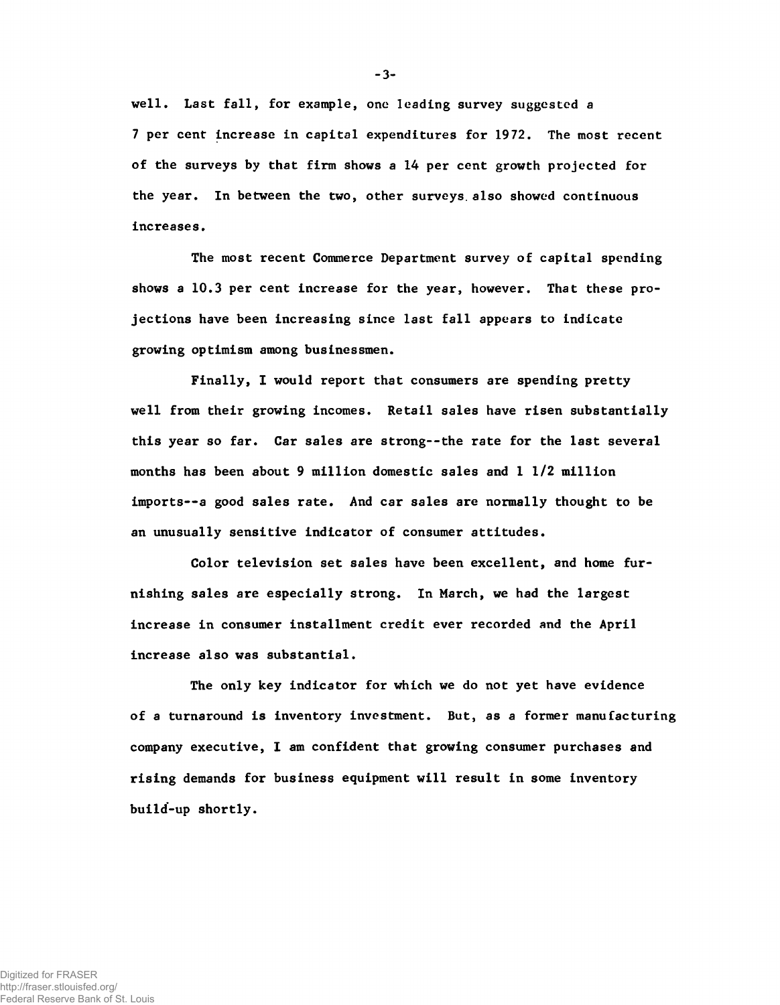well. Last fall, for example, one leading survey suggested a 7 per cent increase in capital expenditures for 1972. The most recent of the surveys by that firm shows a 14 per cent growth projected for the year. In between the two, other surveys, also showed continuous increases.

The most recent Commerce Department survey of capital spending shows a 10.3 per cent increase for the year, however. That these projections have been increasing since last fall appears to indicate growing optimism among businessmen.

Finally, I would report that consumers are spending pretty well from their growing incomes. Retail sales have risen substantially this year so far. Car sales are strong--the rate for the last several months has been about 9 million domestic sales and 1 1/2 million imports— a good sales rate. And car sales are normally thought to be an unusually sensitive indicator of consumer attitudes.

Color television set sales have been excellent, and home furnishing sales are especially strong. In March, we had the largest increase in consumer installment credit ever recorded and the April increase also was substantial.

The only key indicator for which we do not yet have evidence of a turnaround is inventory investment. But, as a former manufacturing company executive, I am confident that growing consumer purchases and rising demands for business equipment will result in some inventory build-up shortly.

-3-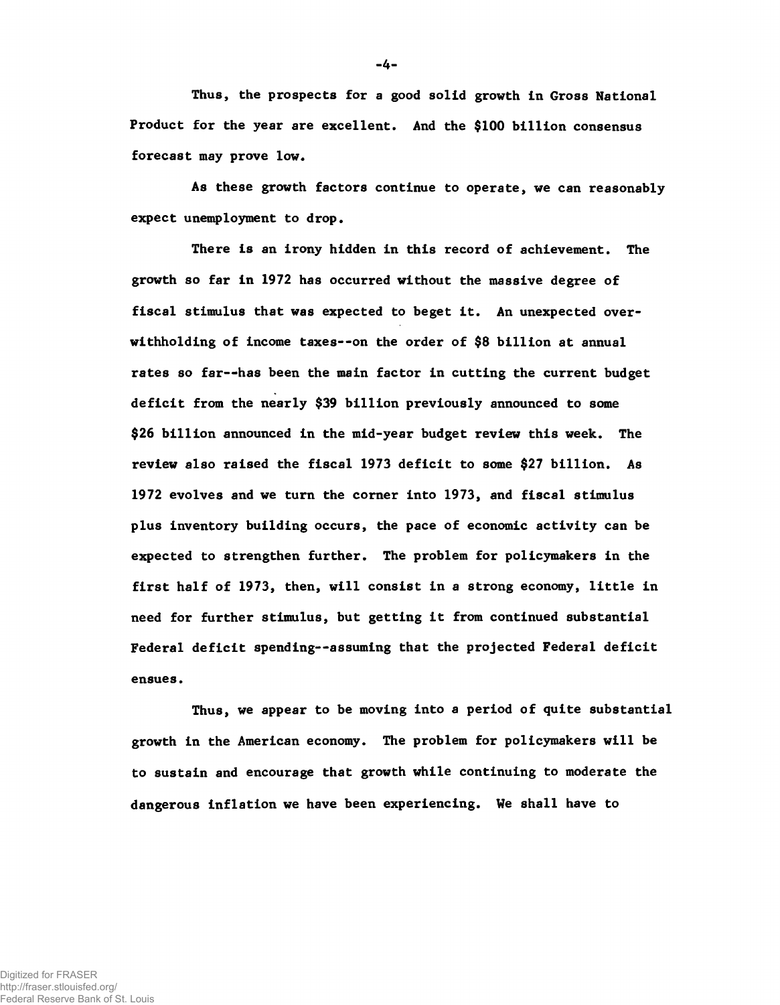Thus, the prospects for a good solid growth in Gross National Product for the year are excellent. And the \$100 billion consensus forecast may prove low.

As these growth factors continue to operate, we can reasonably expect unemployment to drop.

There is an irony hidden in this record of achievement. The growth so far in 1972 has occurred without the massive degree of fiscal stimulus that was expected to beget it. An unexpected overwithholding of income taxes— on the order of \$8 billion at annual rates so far--has been the main factor in cutting the current budget deficit from the nearly \$39 billion previously announced to some \$26 billion announced in the mid-year budget review this week. The review also raised the fiscal 1973 deficit to some \$27 billion. As 1972 evolves and we turn the corner into 1973, and fiscal stimulus plus inventory building occurs, the pace of economic activity can be expected to strengthen further. The problem for policymakers in the first half of 1973, then, will consist in a strong economy, little in need for further stimulus, but getting it from continued substantial Federal deficit spending--assuming that the projected Federal deficit ensues.

Thus, we appear to be moving into a period of quite substantial growth in the American economy. The problem for policymakers will be to sustain and encourage that growth while continuing to moderate the dangerous inflation we have been experiencing. We shall have to

-4-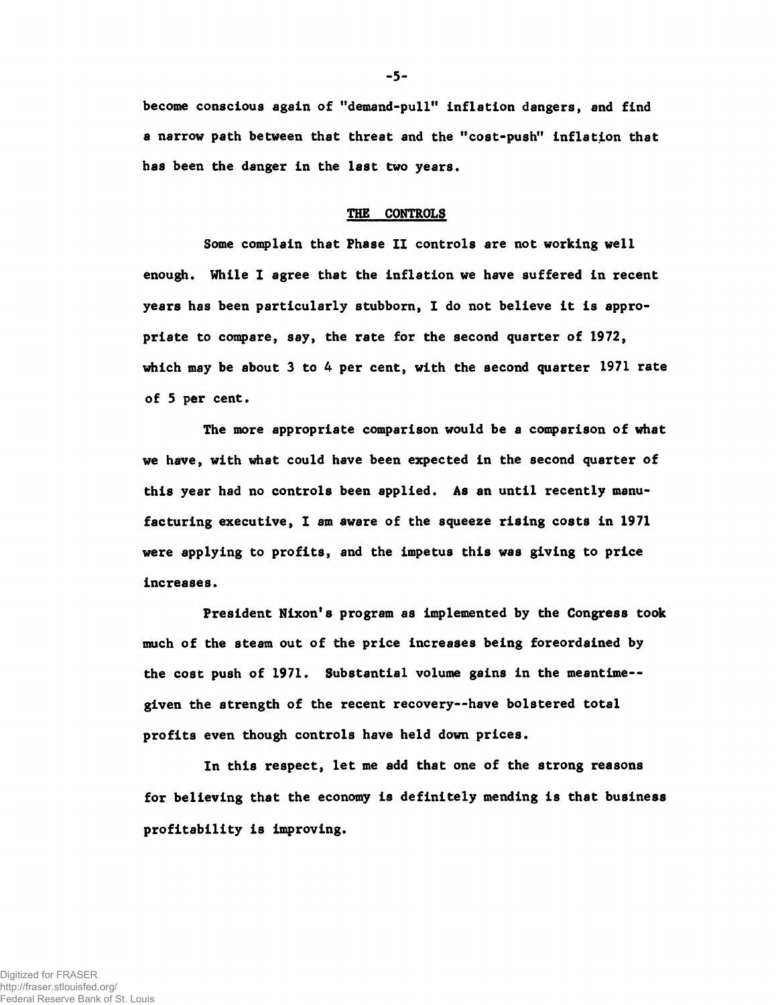become conscious again of "demand-pull" inflation dangers, and find a narrow path between that threat and the "cost-push" inflation that has been the danger in the last two years.

#### THE CONTROLS

Some complain that Phase II controls are not working well enough. While I agree that the inflation we have suffered in recent years has been particularly stubborn, I do not believe it is appropriate to compare, say, the rate for the second quarter of 1972, which may be about 3 to 4 per cent, with the second quarter 1971 rate of 5 per cent.

The more appropriate comparison would be a comparison of what we have, with what could have been expected in the second quarter of this year had no controls been applied. As an until recently manufacturing executive, I am aware of the squeeze rising costs in 1971 were applying to profits, and the impetus this was giving to price increases.

President Nixon's program as implemented by the Congress took much of the steam out of the price increases being foreordained by the cost push of 1971. Substantial volume gains in the meantime-given the strength of the recent recovery--have bolstered total profits even though controls have held down prices.

In this respect, let me add that one of the strong reasons for believing that the economy is definitely mending is that business profitability is improving.

**-** 5**-**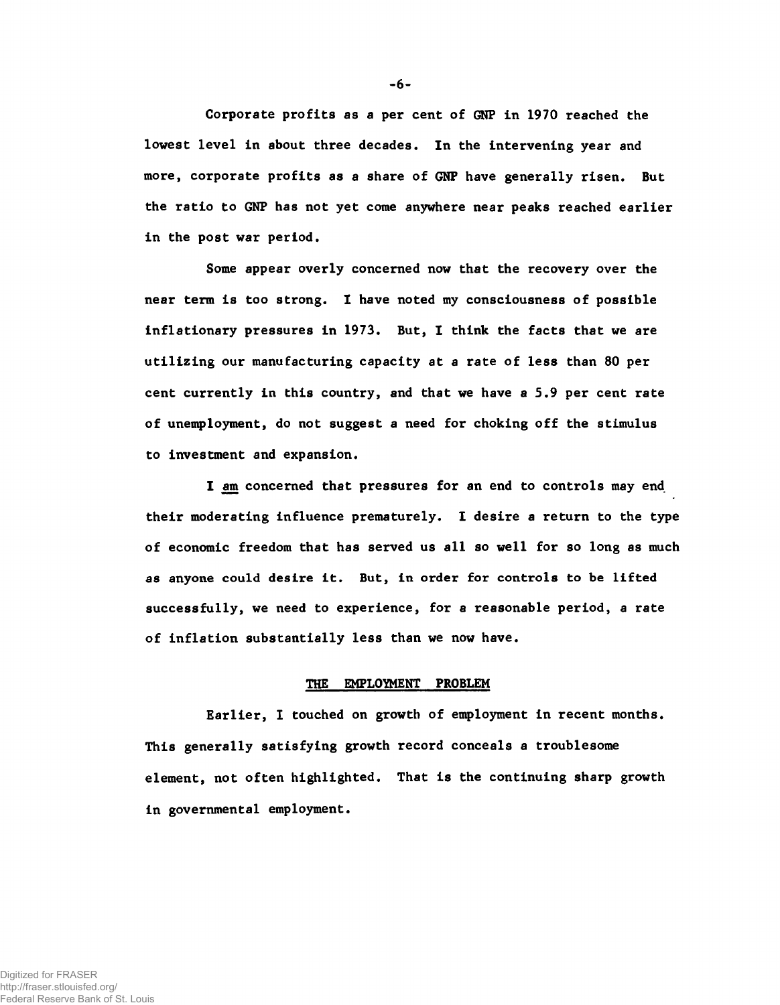Corporate profits as a per cent of GNP in 1970 reached the lowest level in about three decades. In the intervening year and more, corporate profits as a share of GNP have generally risen. But the ratio to GNP has not yet come anywhere near peaks reached earlier in the post war period.

Some appear overly concerned now that the recovery over the near term is too strong. I have noted my consciousness of possible inflationary pressures in 1973. But, I think the facts that we are utilizing our manufacturing capacity at a rate of less than 80 per cent currently in this country, and that we have a 5.9 per cent rate of unemployment, do not suggest a need for choking off the stimulus to investment and expansion.

I am concerned that pressures for an end to controls may end their moderating influence prematurely. I desire a return to the type of economic freedom that has served us all so well for so long as much as anyone could desire it. But, in order for controls to be lifted successfully, we need to experience, for a reasonable period, a rate of inflation substantially less than we now have.

### THE EMPLOYMENT PROBLEM

Earlier, I touched on growth of employment in recent months. This generally satisfying growth record conceals a troublesome element, not often highlighted. That is the continuing sharp growth in governmental employment.

-6-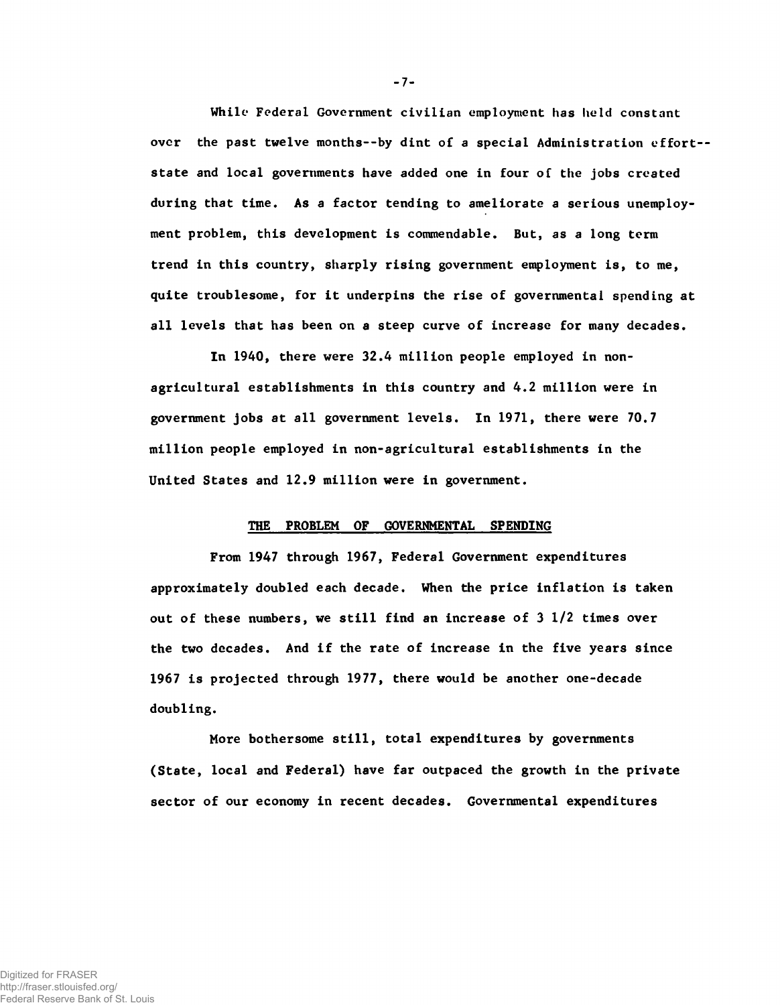While Federal Government civilian employment has held constant over the past twelve months--by dint of a special Administration effort-state and local governments have added one in four of the jobs created during that time. As a factor tending to ameliorate a serious unemployment problem, this development is commendable. But, as a long term trend in this country, sharply rising government employment is, to me, quite troublesome, for it underpins the rise of governmental spending at all levels that has been on a steep curve of increase for many decades.

In 1940, there were 32.4 million people employed in nonagricultural establishments in this country and 4.2 million were in government jobs at all government levels. In 1971, there were 70.7 million people employed in non-agricultural establishments in the United States and 12.9 million were in government.

#### THE PROBLEM OF GOVERNMENTAL SPENDING

From 1947 through 1967, Federal Government expenditures approximately doubled each decade. When the price inflation is taken out of these numbers, we still find an increase of 3 1/2 times over the two decades. And if the rate of increase in the five years since 1967 is projected through 1977, there would be another one-decade doubling.

More bothersome still, total expenditures by governments (State, local and Federal) have far outpaced the growth in the private sector of our economy in recent decades. Governmental expenditures

**-** 7**-**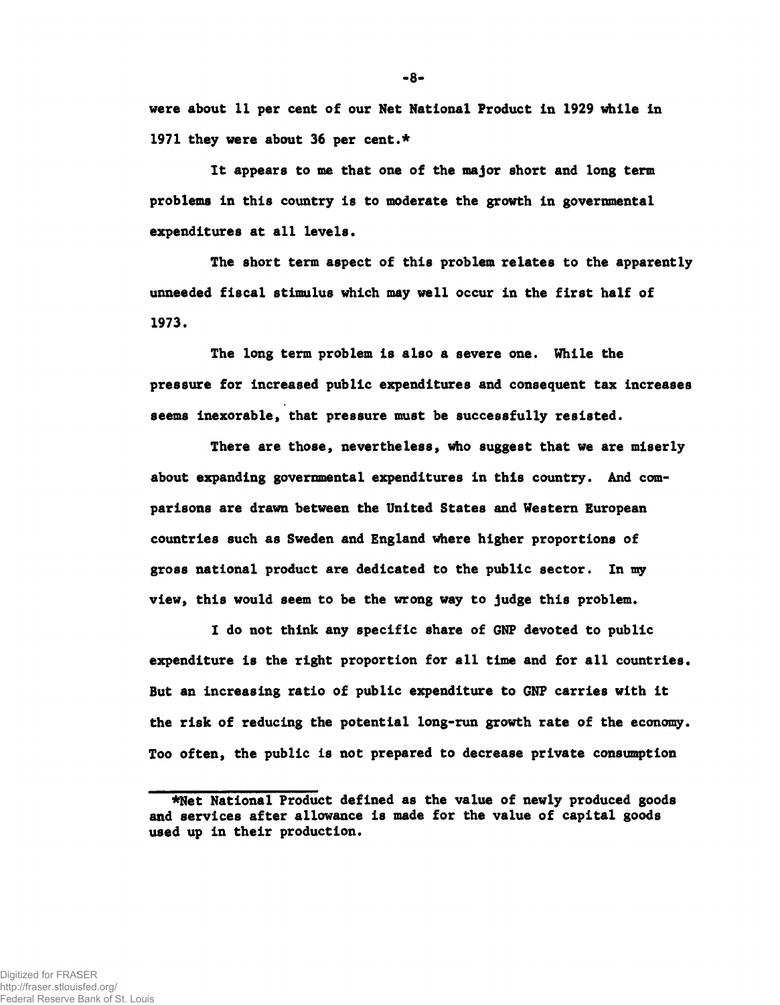**were about 11 per cent of our Net National Product in 1929 while in 1971 they were about 36 per cent.\***

**It appears to me that one of the major short and long term problems in this country is to moderate the growth in governmental expenditures at a ll levels.**

**The short term aspect of this problem relates to the apparently unneeded fiscal stimulus which may well occur in the first half of 1973.**

**The long term problem is also a severe one. While the pressure for increased public expenditures and consequent tax increases seems inexorable, that pressure must be successfully resisted.**

**There are those, nevertheless, who suggest that we are miserly about expanding governmental expenditures in this country. And comparisons are drawn between the United States and Western European countries such as Sweden and England where higher proportions of gross national product are dedicated to the public sector. In my view, this would seem to be the wrong way to judge this problem.**

**I do not think any specific share of GNP devoted to public** expenditure is the right proportion for all time and for all countries. **But an increasing ratio of public expenditure to GNP carries with it the risk of reducing the potential long-run growth rate of the economy. Too often, the public is not prepared to decrease private consumption**

 $-8-$ 

**<sup>\*</sup>Net National Product defined as the value of newly produced goods and services after allowance is made for the value of capital goods used up in their production.**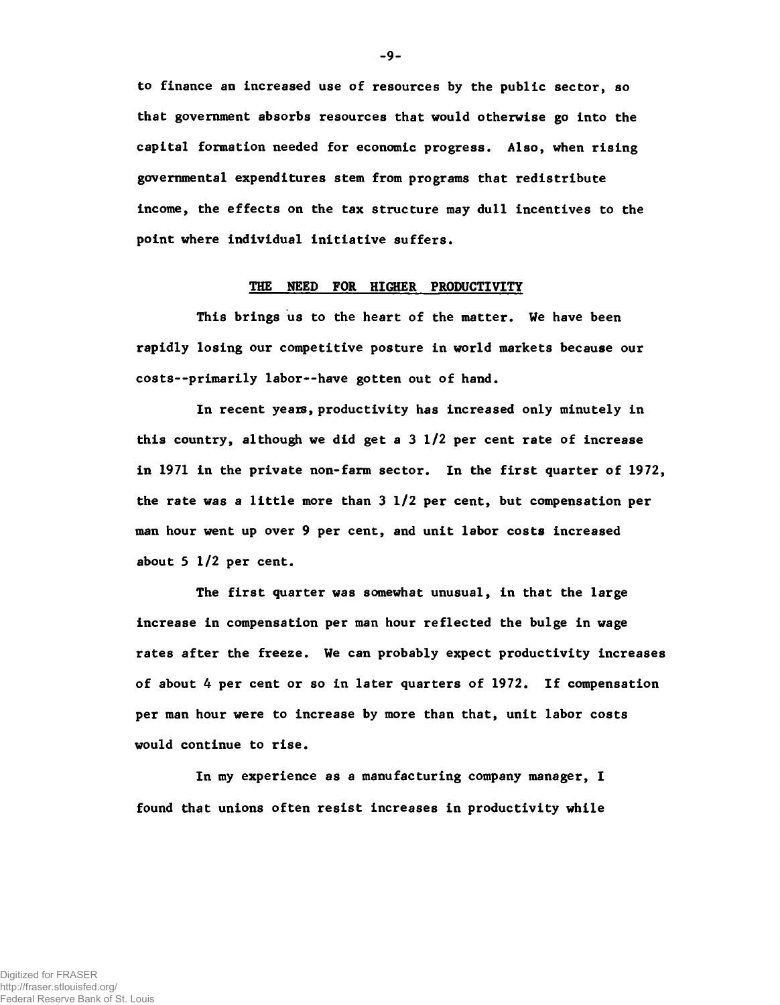to finance an increased use of resources by the public sector, so that government absorbs resources that would otherwise go into the capital formation needed for economic progress. Also, when rising governmental expenditures stem from programs that redistribute income, the effects on the tax structure may dull incentives to the point where individual initiative suffers.

# THE NEED FOR HIGHER PRODUCTIVITY

This brings us to the heart of the matter. We have been rapidly losing our competitive posture in world markets because our costs— primarily labor— have gotten out of hand.

In recent yeaxs, productivity has increased only minutely in this country, although we did get a 3 1/2 per cent rate of increase in 1971 in the private non-farm sector. In the first quarter of 1972, the rate was a little more than 3 1/2 per cent, but compensation per man hour went up over 9 per cent, and unit labor costs increased about 5 1/2 per cent.

The first quarter was somewhat unusual, in that the large increase in compensation per man hour reflected the bulge in wage rates after the freeze. We can probably expect productivity increases of about 4 per cent or so in later quarters of 1972. If compensation per man hour were to increase by more than that, unit labor costs would continue to rise.

In my experience as a manufacturing company manager, I found that unions often resist increases in productivity while

-9-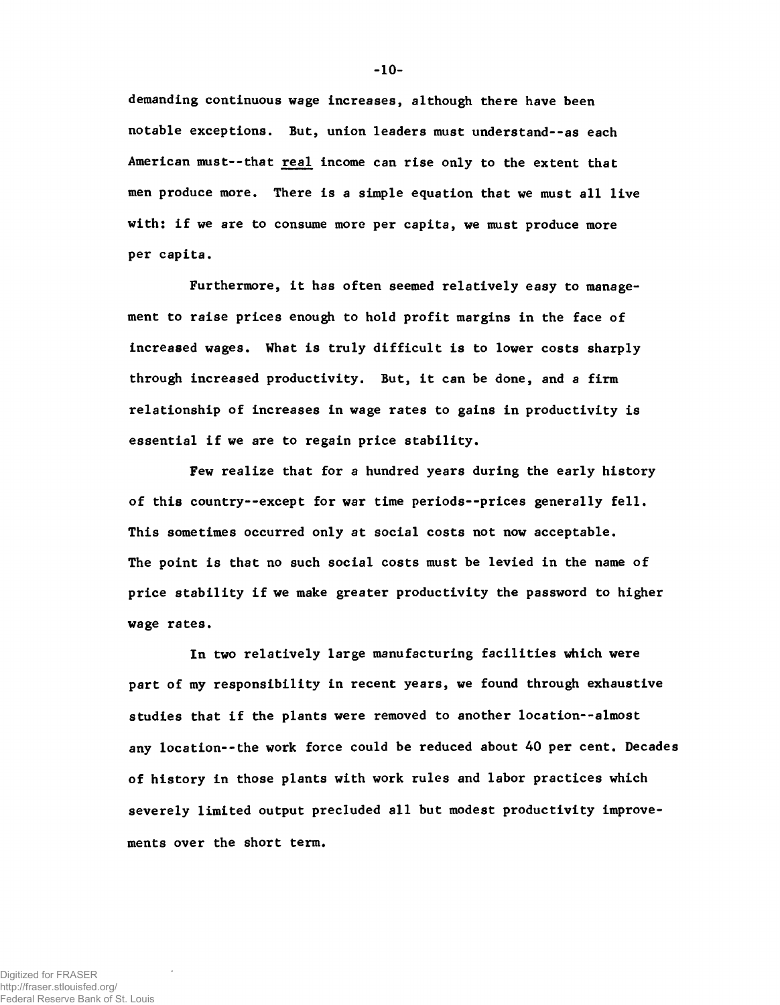demanding continuous wage increases, although there have been notable exceptions. But, union leaders must understand--as each American must--that real income can rise only to the extent that men produce more. There is a simple equation that we must all live with: if we are to consume more per capita, we must produce more per capita.

Furthermore, it has often seemed relatively easy to management to raise prices enough to hold profit margins in the face of increased wages. What is truly difficult is to lower costs sharply through increased productivity. But, it can be done, and a firm relationship of increases in wage rates to gains in productivity is essential if we are to regain price stability.

Few realize that for a hundred years during the early history of this country--except for war time periods--prices generally fell. This sometimes occurred only at social costs not now acceptable. The point is that no such social costs must be levied in the name of price stability if we make greater productivity the password to higher wage rates.

In two relatively large manufacturing facilities which were part of my responsibility in recent years, we found through exhaustive studies that if the plants were removed to another location--almost any location--the work force could be reduced about 40 per cent. Decades of history in those plants with work rules and labor practices which severely limited output precluded all but modest productivity improvements over the short term.

-10-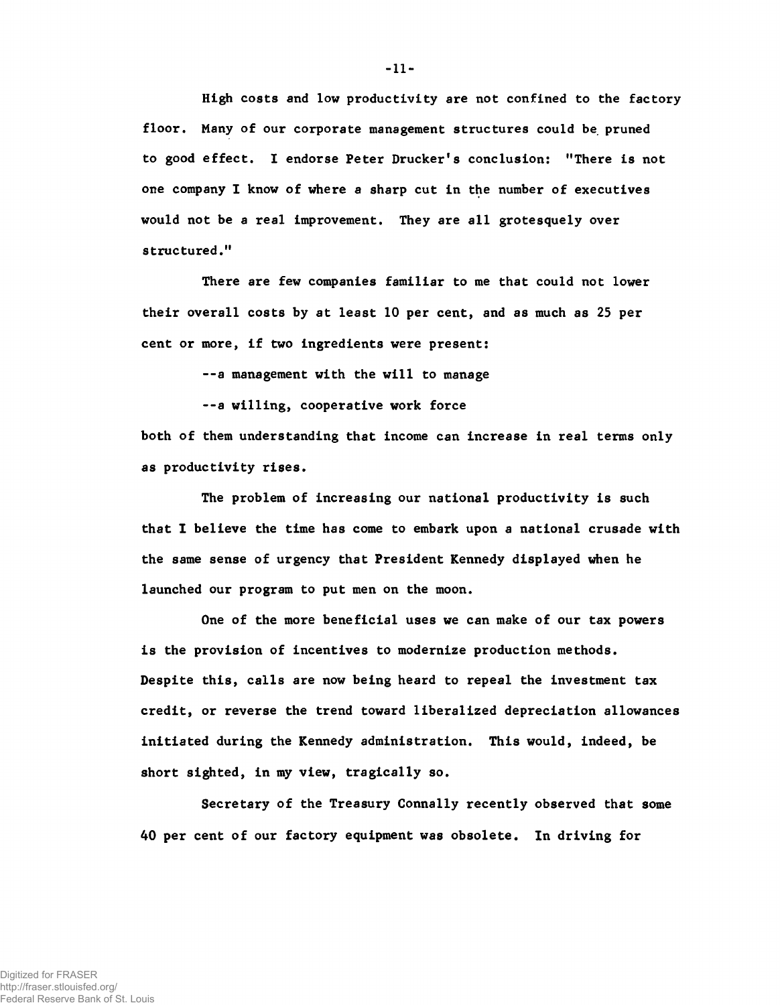High costs and low productivity are not confined to the factory floor. Many of our corporate management structures could be pruned to good effect. I endorse Peter Drucker's conclusion: "There is not one company I know of where a sharp cut in the number of executives would not be a real improvement. They are all grotesquely over structured."

There are few companies familiar to me that could not lower their overall costs by at least 10 per cent, and as much as 25 per cent or more, if two ingredients were present:

--a management with the will to manage

— a willing, cooperative work force

both of them understanding that income can increase in real terms only as productivity rises.

The problem of increasing our national productivity is such that I believe the time has come to embark upon a national crusade with the same sense of urgency that President Kennedy displayed when he launched our program to put men on the moon.

One of the more beneficial uses we can make of our tax powers is the provision of incentives to modernize production methods. Despite this, calls are now being heard to repeal the investment tax credit, or reverse the trend toward liberalized depreciation allowances initiated during the Kennedy administration. This would, indeed, be short sighted, in my view, tragically so.

Secretary of the Treasury Connally recently observed that some 40 per cent of our factory equipment was obsolete. In driving for

-11-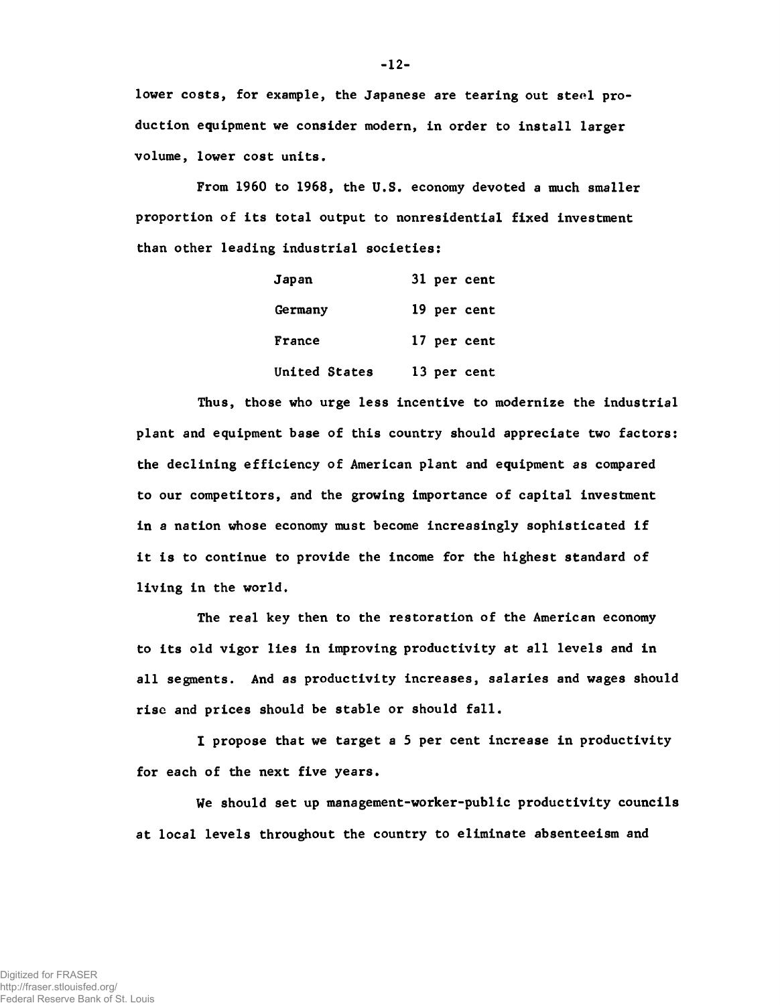lower costs, for example, the Japanese are tearing out steel production equipment we consider modern, in order to install larger volume, lower cost units.

From 1960 to 1968, the U.S. economy devoted a much smaller proportion of its total output to nonresidential fixed investment than other leading industrial societies:

| Japan         | 31 per cent |
|---------------|-------------|
| Germany       | 19 per cent |
| France        | 17 per cent |
| United States | 13 per cent |

Thus, those who urge less incentive to modernize the industrial plant and equipment base of this country should appreciate two factors: the declining efficiency of American plant and equipment as compared to our competitors, and the growing importance of capital investment in a nation whose economy must become increasingly sophisticated if it is to continue to provide the income for the highest standard of living in the world.

The real key then to the restoration of the American economy to its old vigor lies in improving productivity at all levels and in all segments. And as productivity increases, salaries and wages should rise and prices should be stable or should fall.

I propose that we target a 5 per cent increase in productivity for each of the next five years.

We should set up management-worker-public productivity councils at local levels throughout the country to eliminate absenteeism and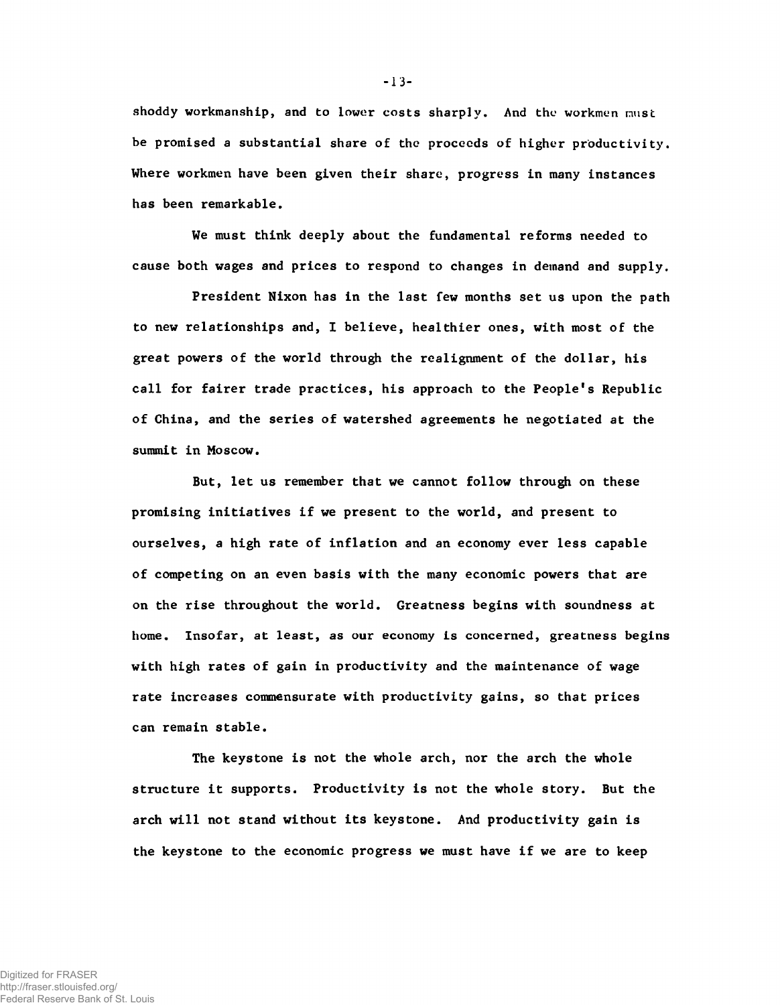shoddy workmanship, and to lower costs sharply. And the workmen must be promised a substantial share of the proceeds of higher productivity. Where workmen have been given their share, progress in many instances has been remarkable.

We must think deeply about the fundamental reforms needed to cause both wages and prices to respond to changes in demand and supply.

President Nixon has in the last few months set us upon the path to new relationships and, I believe, healthier ones, with most of the great powers of the world through the realignment of the dollar, his call for fairer trade practices, his approach to the People's Republic of China, and the series of watershed agreements he negotiated at the summit in Moscow.

But, let us remember that we cannot follow through on these promising initiatives if we present to the world, and present to ourselves, a high rate of inflation and an economy ever less capable of competing on an even basis with the many economic powers that are on the rise throughout the world. Greatness begins with soundness at home. Insofar, at least, as our economy is concerned, greatness begins with high rates of gain in productivity and the maintenance of wage rate increases commensurate with productivity gains, so that prices can remain stable.

The keystone is not the whole arch, nor the arch the whole structure it supports. Productivity is not the whole story. But the arch will not stand without its keystone. And productivity gain is the keystone to the economic progress we must have if we are to keep

**-** 13**-**